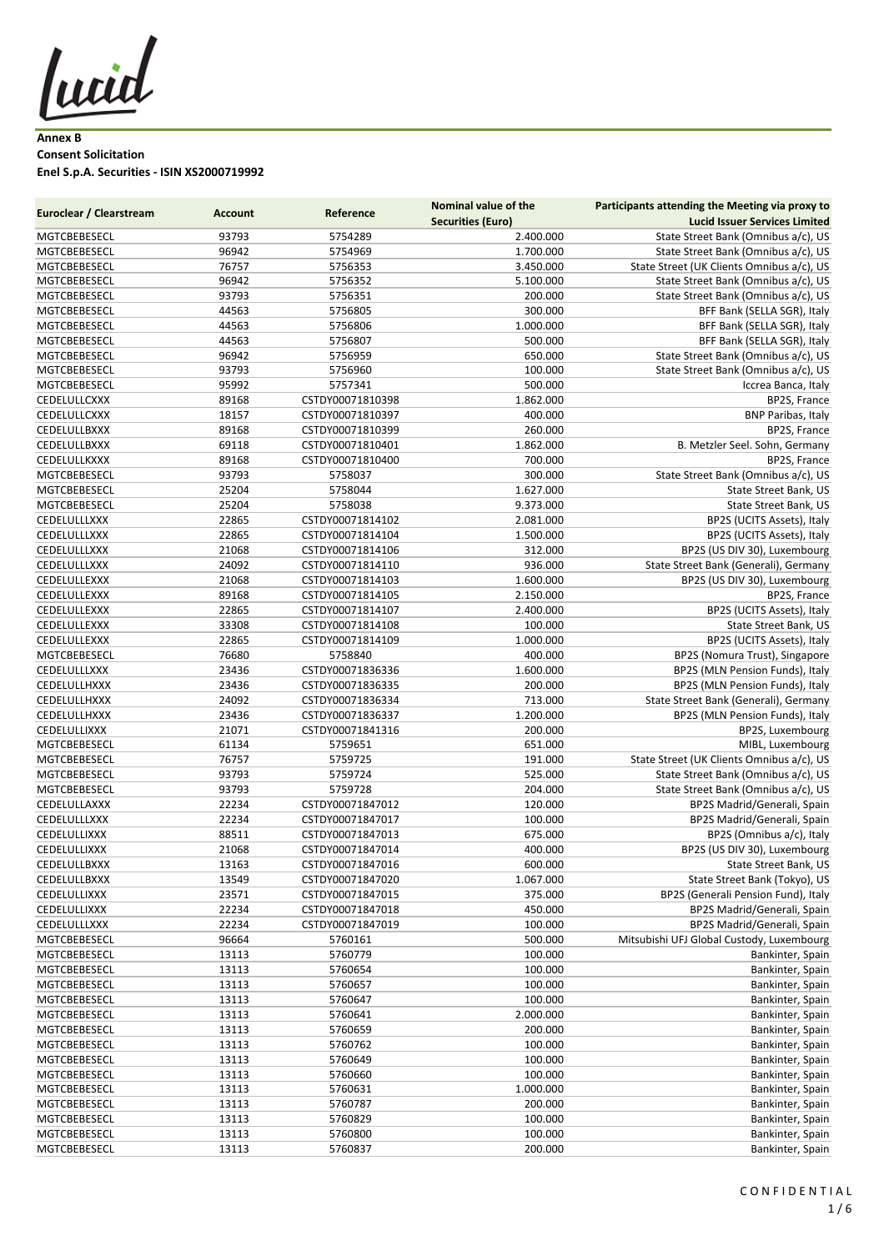lucid

**Annex B Consent Solicitation Enel S.p.A. Securities - ISIN XS2000719992**

| <b>Euroclear / Clearstream</b> |                | Reference        | <b>Nominal value of the</b> | Participants attending the Meeting via proxy to |
|--------------------------------|----------------|------------------|-----------------------------|-------------------------------------------------|
|                                | <b>Account</b> |                  | <b>Securities (Euro)</b>    | <b>Lucid Issuer Services Limited</b>            |
| MGTCBEBESECL                   | 93793          | 5754289          | 2.400.000                   | State Street Bank (Omnibus a/c), US             |
| MGTCBEBESECL                   | 96942          | 5754969          | 1.700.000                   | State Street Bank (Omnibus a/c), US             |
| MGTCBEBESECL                   | 76757          | 5756353          | 3.450.000                   | State Street (UK Clients Omnibus a/c), US       |
| MGTCBEBESECL                   | 96942          | 5756352          | 5.100.000                   | State Street Bank (Omnibus a/c), US             |
| MGTCBEBESECL                   | 93793          | 5756351          | 200.000                     | State Street Bank (Omnibus a/c), US             |
| MGTCBEBESECL                   | 44563          | 5756805          | 300.000                     | BFF Bank (SELLA SGR), Italy                     |
| MGTCBEBESECL                   | 44563          | 5756806          | 1.000.000                   | BFF Bank (SELLA SGR), Italy                     |
| MGTCBEBESECL                   | 44563          | 5756807          | 500.000                     | BFF Bank (SELLA SGR), Italy                     |
| MGTCBEBESECL                   | 96942          | 5756959          | 650.000                     | State Street Bank (Omnibus a/c), US             |
| MGTCBEBESECL                   | 93793          | 5756960          | 100.000                     | State Street Bank (Omnibus a/c), US             |
| MGTCBEBESECL                   | 95992          | 5757341          | 500.000                     | Iccrea Banca, Italy                             |
| CEDELULLCXXX                   | 89168          | CSTDY00071810398 | 1.862.000                   | BP2S, France                                    |
| CEDELULLCXXX                   | 18157          | CSTDY00071810397 | 400.000                     | <b>BNP Paribas, Italy</b>                       |
| CEDELULLBXXX                   | 89168          | CSTDY00071810399 | 260.000                     | BP2S, France                                    |
| CEDELULLBXXX                   | 69118          | CSTDY00071810401 | 1.862.000                   | B. Metzler Seel. Sohn, Germany                  |
| CEDELULLKXXX                   | 89168          | CSTDY00071810400 | 700.000                     | BP2S, France                                    |
| MGTCBEBESECL                   | 93793          | 5758037          | 300.000                     | State Street Bank (Omnibus a/c), US             |
| MGTCBEBESECL                   | 25204          | 5758044          | 1.627.000                   | State Street Bank, US                           |
| MGTCBEBESECL                   | 25204          | 5758038          | 9.373.000                   | State Street Bank, US                           |
| CEDELULLLXXX                   | 22865          | CSTDY00071814102 | 2.081.000                   | BP2S (UCITS Assets), Italy                      |
|                                |                |                  |                             |                                                 |
| CEDELULLLXXX                   | 22865          | CSTDY00071814104 | 1.500.000                   | BP2S (UCITS Assets), Italy                      |
| CEDELULLLXXX                   | 21068          | CSTDY00071814106 | 312.000                     | BP2S (US DIV 30), Luxembourg                    |
| CEDELULLLXXX                   | 24092          | CSTDY00071814110 | 936.000                     | State Street Bank (Generali), Germany           |
| CEDELULLEXXX                   | 21068          | CSTDY00071814103 | 1.600.000                   | BP2S (US DIV 30), Luxembourg                    |
| CEDELULLEXXX                   | 89168          | CSTDY00071814105 | 2.150.000                   | BP2S, France                                    |
| CEDELULLEXXX                   | 22865          | CSTDY00071814107 | 2.400.000                   | BP2S (UCITS Assets), Italy                      |
| CEDELULLEXXX                   | 33308          | CSTDY00071814108 | 100.000                     | State Street Bank, US                           |
| CEDELULLEXXX                   | 22865          | CSTDY00071814109 | 1.000.000                   | BP2S (UCITS Assets), Italy                      |
| MGTCBEBESECL                   | 76680          | 5758840          | 400.000                     | BP2S (Nomura Trust), Singapore                  |
| CEDELULLLXXX                   | 23436          | CSTDY00071836336 | 1.600.000                   | BP2S (MLN Pension Funds), Italy                 |
| CEDELULLHXXX                   | 23436          | CSTDY00071836335 | 200.000                     | BP2S (MLN Pension Funds), Italy                 |
| CEDELULLHXXX                   | 24092          | CSTDY00071836334 | 713.000                     | State Street Bank (Generali), Germany           |
| CEDELULLHXXX                   | 23436          | CSTDY00071836337 | 1.200.000                   | BP2S (MLN Pension Funds), Italy                 |
| CEDELULLIXXX                   | 21071          | CSTDY00071841316 | 200.000                     | BP2S, Luxembourg                                |
| MGTCBEBESECL                   | 61134          | 5759651          | 651.000                     | MIBL, Luxembourg                                |
| MGTCBEBESECL                   | 76757          | 5759725          | 191.000                     | State Street (UK Clients Omnibus a/c), US       |
| MGTCBEBESECL                   | 93793          | 5759724          | 525.000                     | State Street Bank (Omnibus a/c), US             |
| MGTCBEBESECL                   | 93793          | 5759728          | 204.000                     | State Street Bank (Omnibus a/c), US             |
| CEDELULLAXXX                   | 22234          | CSTDY00071847012 | 120.000                     | BP2S Madrid/Generali, Spain                     |
| CEDELULLLXXX                   | 22234          | CSTDY00071847017 | 100.000                     | BP2S Madrid/Generali, Spain                     |
| CEDELULLIXXX                   | 88511          | CSTDY00071847013 | 675.000                     | BP2S (Omnibus a/c), Italy                       |
| CEDELULLIXXX                   | 21068          | CSTDY00071847014 | 400.000                     | BP2S (US DIV 30), Luxembourg                    |
| CEDELULLBXXX                   | 13163          | CSTDY00071847016 | 600.000                     | State Street Bank, US                           |
| CEDELULLBXXX                   | 13549          | CSTDY00071847020 | 1.067.000                   | State Street Bank (Tokyo), US                   |
| CEDELULLIXXX                   | 23571          | CSTDY00071847015 | 375.000                     | BP2S (Generali Pension Fund), Italy             |
| CEDELULLIXXX                   | 22234          | CSTDY00071847018 | 450.000                     | BP2S Madrid/Generali, Spain                     |
| CEDELULLLXXX                   | 22234          | CSTDY00071847019 | 100.000                     | BP2S Madrid/Generali, Spain                     |
| MGTCBEBESECL                   | 96664          | 5760161          | 500.000                     | Mitsubishi UFJ Global Custody, Luxembourg       |
| MGTCBEBESECL                   | 13113          | 5760779          | 100.000                     | Bankinter, Spain                                |
| MGTCBEBESECL                   | 13113          | 5760654          | 100.000                     | Bankinter, Spain                                |
| MGTCBEBESECL                   | 13113          | 5760657          | 100.000                     | Bankinter, Spain                                |
| MGTCBEBESECL                   | 13113          | 5760647          | 100.000                     | Bankinter, Spain                                |
| MGTCBEBESECL                   | 13113          | 5760641          | 2.000.000                   | Bankinter, Spain                                |
| MGTCBEBESECL                   | 13113          | 5760659          | 200.000                     | Bankinter, Spain                                |
| MGTCBEBESECL                   | 13113          | 5760762          | 100.000                     | Bankinter, Spain                                |
| MGTCBEBESECL                   | 13113          | 5760649          | 100.000                     | Bankinter, Spain                                |
| MGTCBEBESECL                   | 13113          | 5760660          | 100.000                     | Bankinter, Spain                                |
| MGTCBEBESECL                   | 13113          | 5760631          | 1.000.000                   | Bankinter, Spain                                |
| MGTCBEBESECL                   | 13113          | 5760787          | 200.000                     | Bankinter, Spain                                |
| MGTCBEBESECL                   | 13113          | 5760829          | 100.000                     | Bankinter, Spain                                |
| MGTCBEBESECL                   | 13113          | 5760800          | 100.000                     | Bankinter, Spain                                |
| MGTCBEBESECL                   | 13113          | 5760837          | 200.000                     | Bankinter, Spain                                |
|                                |                |                  |                             |                                                 |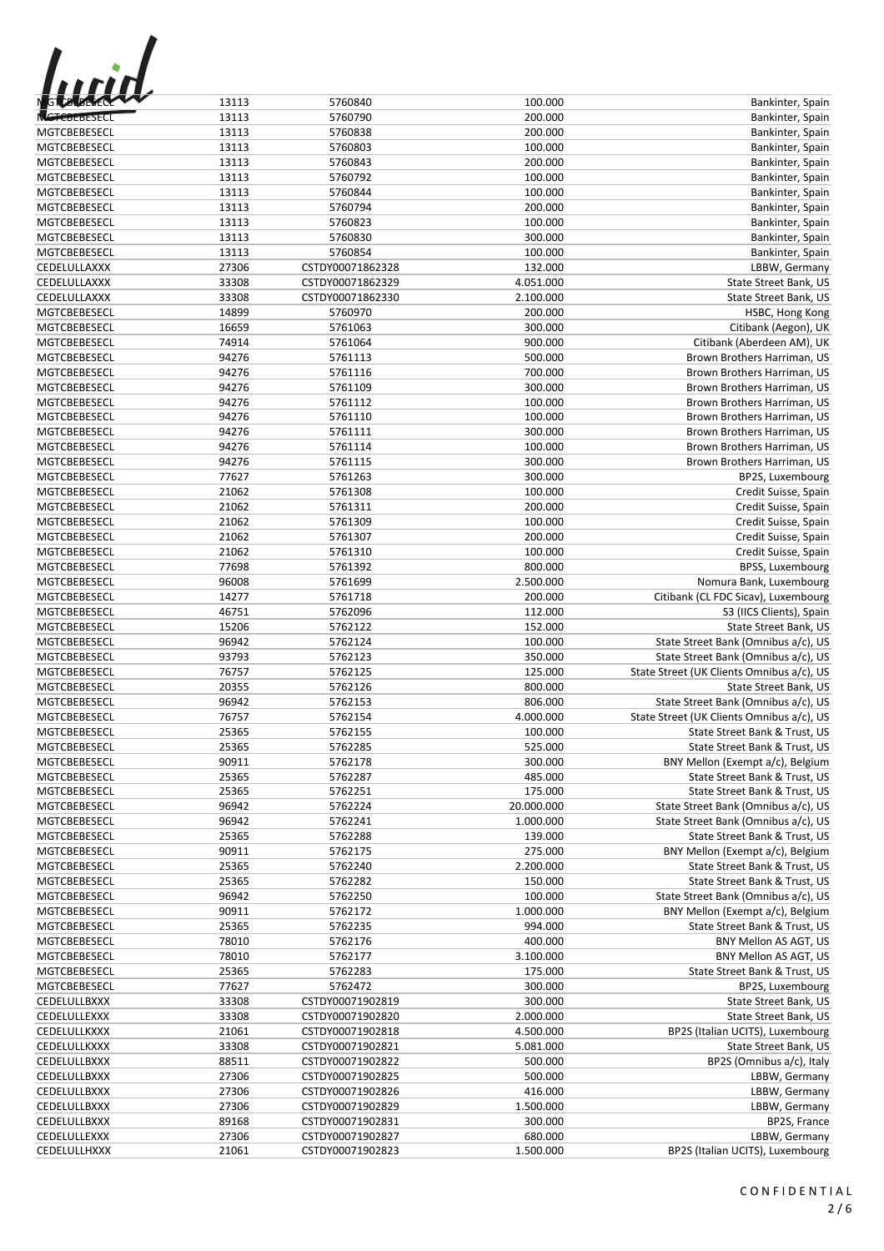| <b>GTCBTBESEC</b> |
|-------------------|
|                   |

| <b>MGTCBLBESCOOL</b> | 13113 | 5760840          | 100.000    | Bankinter, Spain                          |
|----------------------|-------|------------------|------------|-------------------------------------------|
| <b>MGTCBEBESECL</b>  | 13113 | 5760790          | 200.000    | Bankinter, Spain                          |
| MGTCBEBESECL         | 13113 | 5760838          | 200.000    | Bankinter, Spain                          |
| MGTCBEBESECL         | 13113 | 5760803          | 100.000    | Bankinter, Spain                          |
| MGTCBEBESECL         | 13113 | 5760843          | 200.000    |                                           |
|                      |       |                  |            | Bankinter, Spain                          |
| MGTCBEBESECL         | 13113 | 5760792          | 100.000    | Bankinter, Spain                          |
| MGTCBEBESECL         | 13113 | 5760844          | 100.000    | Bankinter, Spain                          |
| MGTCBEBESECL         | 13113 | 5760794          | 200.000    | Bankinter, Spain                          |
| MGTCBEBESECL         | 13113 | 5760823          | 100.000    | Bankinter, Spain                          |
| MGTCBEBESECL         | 13113 | 5760830          | 300.000    | Bankinter, Spain                          |
| MGTCBEBESECL         | 13113 | 5760854          | 100.000    | Bankinter, Spain                          |
| CEDELULLAXXX         | 27306 | CSTDY00071862328 | 132.000    | LBBW, Germany                             |
| CEDELULLAXXX         | 33308 | CSTDY00071862329 | 4.051.000  | State Street Bank, US                     |
|                      |       |                  |            |                                           |
| CEDELULLAXXX         | 33308 | CSTDY00071862330 | 2.100.000  | State Street Bank, US                     |
| MGTCBEBESECL         | 14899 | 5760970          | 200.000    | HSBC, Hong Kong                           |
| MGTCBEBESECL         | 16659 | 5761063          | 300.000    | Citibank (Aegon), UK                      |
| MGTCBEBESECL         | 74914 | 5761064          | 900.000    | Citibank (Aberdeen AM), UK                |
| MGTCBEBESECL         | 94276 | 5761113          | 500.000    | Brown Brothers Harriman, US               |
| MGTCBEBESECL         | 94276 | 5761116          | 700.000    | Brown Brothers Harriman, US               |
| MGTCBEBESECL         | 94276 | 5761109          | 300.000    | Brown Brothers Harriman, US               |
| MGTCBEBESECL         | 94276 | 5761112          | 100.000    | Brown Brothers Harriman, US               |
| MGTCBEBESECL         | 94276 | 5761110          | 100.000    | Brown Brothers Harriman, US               |
| MGTCBEBESECL         | 94276 | 5761111          | 300.000    | Brown Brothers Harriman, US               |
|                      |       |                  |            |                                           |
| MGTCBEBESECL         | 94276 | 5761114          | 100.000    | Brown Brothers Harriman, US               |
| MGTCBEBESECL         | 94276 | 5761115          | 300.000    | Brown Brothers Harriman, US               |
| MGTCBEBESECL         | 77627 | 5761263          | 300.000    | BP2S, Luxembourg                          |
| MGTCBEBESECL         | 21062 | 5761308          | 100.000    | Credit Suisse, Spain                      |
| MGTCBEBESECL         | 21062 | 5761311          | 200.000    | Credit Suisse, Spain                      |
| MGTCBEBESECL         | 21062 | 5761309          | 100.000    | Credit Suisse, Spain                      |
| MGTCBEBESECL         | 21062 | 5761307          | 200.000    | Credit Suisse, Spain                      |
| MGTCBEBESECL         | 21062 | 5761310          | 100.000    | Credit Suisse, Spain                      |
| MGTCBEBESECL         | 77698 | 5761392          | 800.000    | BPSS, Luxembourg                          |
| MGTCBEBESECL         | 96008 | 5761699          | 2.500.000  | Nomura Bank, Luxembourg                   |
| MGTCBEBESECL         | 14277 | 5761718          | 200.000    | Citibank (CL FDC Sicav), Luxembourg       |
| MGTCBEBESECL         | 46751 | 5762096          | 112.000    | S3 (IICS Clients), Spain                  |
| MGTCBEBESECL         | 15206 | 5762122          | 152.000    | State Street Bank, US                     |
| MGTCBEBESECL         | 96942 | 5762124          | 100.000    | State Street Bank (Omnibus a/c), US       |
| MGTCBEBESECL         | 93793 | 5762123          | 350.000    | State Street Bank (Omnibus a/c), US       |
| MGTCBEBESECL         | 76757 | 5762125          | 125.000    | State Street (UK Clients Omnibus a/c), US |
|                      |       |                  |            |                                           |
| MGTCBEBESECL         | 20355 | 5762126          | 800.000    | State Street Bank, US                     |
| MGTCBEBESECL         | 96942 | 5762153          | 806.000    | State Street Bank (Omnibus a/c), US       |
| MGTCBEBESECL         | 76757 | 5762154          | 4.000.000  | State Street (UK Clients Omnibus a/c), US |
| MGTCBEBESECL         | 25365 | 5762155          | 100.000    | State Street Bank & Trust, US             |
| MGTCBEBESECL         | 25365 | 5762285          | 525.000    | State Street Bank & Trust, US             |
| MGTCBEBESECL         | 90911 | 5762178          | 300.000    | BNY Mellon (Exempt a/c), Belgium          |
| MGTCBEBESECL         | 25365 | 5762287          | 485.000    | State Street Bank & Trust, US             |
| MGTCBEBESECL         | 25365 | 5762251          | 175.000    | State Street Bank & Trust, US             |
| MGTCBEBESECL         | 96942 | 5762224          | 20.000.000 | State Street Bank (Omnibus a/c), US       |
| MGTCBEBESECL         | 96942 | 5762241          | 1.000.000  | State Street Bank (Omnibus a/c), US       |
| MGTCBEBESECL         | 25365 | 5762288          | 139.000    | State Street Bank & Trust, US             |
| MGTCBEBESECL         | 90911 | 5762175          | 275.000    | BNY Mellon (Exempt a/c), Belgium          |
| MGTCBEBESECL         | 25365 | 5762240          | 2.200.000  | State Street Bank & Trust, US             |
| MGTCBEBESECL         | 25365 | 5762282          | 150.000    | State Street Bank & Trust, US             |
| MGTCBEBESECL         | 96942 | 5762250          | 100.000    | State Street Bank (Omnibus a/c), US       |
| MGTCBEBESECL         | 90911 | 5762172          | 1.000.000  | BNY Mellon (Exempt a/c), Belgium          |
|                      |       |                  |            |                                           |
| MGTCBEBESECL         | 25365 | 5762235          | 994.000    | State Street Bank & Trust, US             |
| MGTCBEBESECL         | 78010 | 5762176          | 400.000    | BNY Mellon AS AGT, US                     |
| MGTCBEBESECL         | 78010 | 5762177          | 3.100.000  | BNY Mellon AS AGT, US                     |
| MGTCBEBESECL         | 25365 | 5762283          | 175.000    | State Street Bank & Trust, US             |
| MGTCBEBESECL         | 77627 | 5762472          | 300.000    | BP2S, Luxembourg                          |
| CEDELULLBXXX         | 33308 | CSTDY00071902819 | 300.000    | State Street Bank, US                     |
| CEDELULLEXXX         | 33308 | CSTDY00071902820 | 2.000.000  | State Street Bank, US                     |
| CEDELULLKXXX         | 21061 | CSTDY00071902818 | 4.500.000  | BP2S (Italian UCITS), Luxembourg          |
| CEDELULLKXXX         | 33308 | CSTDY00071902821 | 5.081.000  | State Street Bank, US                     |
| CEDELULLBXXX         | 88511 | CSTDY00071902822 | 500.000    | BP2S (Omnibus a/c), Italy                 |
| CEDELULLBXXX         | 27306 | CSTDY00071902825 | 500.000    | LBBW, Germany                             |
| CEDELULLBXXX         | 27306 | CSTDY00071902826 | 416.000    | LBBW, Germany                             |
| CEDELULLBXXX         | 27306 | CSTDY00071902829 | 1.500.000  | LBBW, Germany                             |
| CEDELULLBXXX         | 89168 | CSTDY00071902831 | 300.000    | BP2S, France                              |
| CEDELULLEXXX         | 27306 | CSTDY00071902827 | 680.000    | LBBW, Germany                             |
| CEDELULLHXXX         | 21061 | CSTDY00071902823 | 1.500.000  | BP2S (Italian UCITS), Luxembourg          |
|                      |       |                  |            |                                           |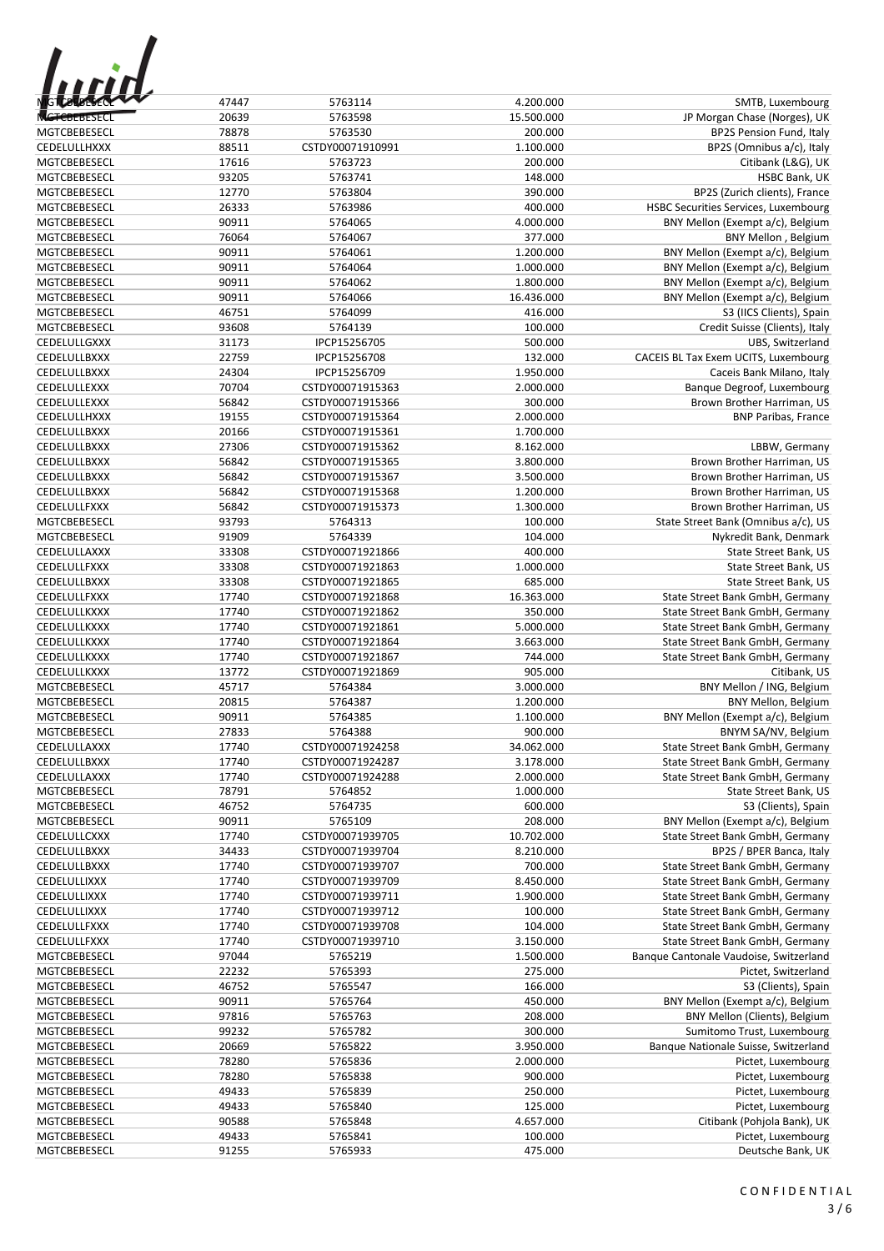| ,,,,,<br><b>IG TUBLISHEDE</b> |  |
|-------------------------------|--|
| $F$ BEBESECI                  |  |

| <b>MG to to the community</b> | 47447 | 5763114          | 4.200.000  | SMTB, Luxembourg                       |
|-------------------------------|-------|------------------|------------|----------------------------------------|
| <b>MGTCBEBESECL</b>           | 20639 | 5763598          | 15.500.000 | JP Morgan Chase (Norges), UK           |
| MGTCBEBESECL                  | 78878 | 5763530          | 200.000    | <b>BP2S Pension Fund, Italy</b>        |
| CEDELULLHXXX                  | 88511 | CSTDY00071910991 | 1.100.000  | BP2S (Omnibus a/c), Italy              |
| MGTCBEBESECL                  | 17616 | 5763723          | 200.000    | Citibank (L&G), UK                     |
| MGTCBEBESECL                  | 93205 | 5763741          | 148.000    | HSBC Bank, UK                          |
| MGTCBEBESECL                  | 12770 | 5763804          | 390.000    | BP2S (Zurich clients), France          |
| MGTCBEBESECL                  | 26333 |                  |            |                                        |
|                               |       | 5763986          | 400.000    | HSBC Securities Services, Luxembourg   |
| MGTCBEBESECL                  | 90911 | 5764065          | 4.000.000  | BNY Mellon (Exempt a/c), Belgium       |
| <b>MGTCBEBESECL</b>           | 76064 | 5764067          | 377.000    | BNY Mellon, Belgium                    |
| MGTCBEBESECL                  | 90911 | 5764061          | 1.200.000  | BNY Mellon (Exempt a/c), Belgium       |
| MGTCBEBESECL                  | 90911 | 5764064          | 1.000.000  | BNY Mellon (Exempt a/c), Belgium       |
| MGTCBEBESECL                  | 90911 | 5764062          | 1.800.000  | BNY Mellon (Exempt a/c), Belgium       |
| MGTCBEBESECL                  | 90911 | 5764066          | 16.436.000 | BNY Mellon (Exempt a/c), Belgium       |
| MGTCBEBESECL                  | 46751 | 5764099          | 416.000    | S3 (IICS Clients), Spain               |
| MGTCBEBESECL                  | 93608 | 5764139          | 100.000    | Credit Suisse (Clients), Italy         |
| CEDELULLGXXX                  | 31173 | IPCP15256705     | 500.000    | UBS, Switzerland                       |
| CEDELULLBXXX                  | 22759 | IPCP15256708     | 132.000    | CACEIS BL Tax Exem UCITS, Luxembourg   |
| CEDELULLBXXX                  | 24304 | IPCP15256709     | 1.950.000  | Caceis Bank Milano, Italy              |
| CEDELULLEXXX                  | 70704 | CSTDY00071915363 | 2.000.000  | Banque Degroof, Luxembourg             |
| CEDELULLEXXX                  | 56842 | CSTDY00071915366 | 300.000    | Brown Brother Harriman, US             |
| CEDELULLHXXX                  | 19155 | CSTDY00071915364 | 2.000.000  | <b>BNP Paribas, France</b>             |
| CEDELULLBXXX                  | 20166 | CSTDY00071915361 | 1.700.000  |                                        |
| CEDELULLBXXX                  | 27306 | CSTDY00071915362 | 8.162.000  | LBBW, Germany                          |
| CEDELULLBXXX                  | 56842 | CSTDY00071915365 | 3.800.000  | Brown Brother Harriman, US             |
| CEDELULLBXXX                  | 56842 | CSTDY00071915367 | 3.500.000  | Brown Brother Harriman, US             |
| CEDELULLBXXX                  | 56842 | CSTDY00071915368 | 1.200.000  | Brown Brother Harriman, US             |
| CEDELULLFXXX                  | 56842 | CSTDY00071915373 | 1.300.000  | Brown Brother Harriman, US             |
| MGTCBEBESECL                  | 93793 |                  |            | State Street Bank (Omnibus a/c), US    |
|                               |       | 5764313          | 100.000    |                                        |
| MGTCBEBESECL                  | 91909 | 5764339          | 104.000    | Nykredit Bank, Denmark                 |
| CEDELULLAXXX                  | 33308 | CSTDY00071921866 | 400.000    | State Street Bank, US                  |
| CEDELULLFXXX                  | 33308 | CSTDY00071921863 | 1.000.000  | State Street Bank, US                  |
| CEDELULLBXXX                  | 33308 | CSTDY00071921865 | 685.000    | State Street Bank, US                  |
| CEDELULLFXXX                  | 17740 | CSTDY00071921868 | 16.363.000 | State Street Bank GmbH, Germany        |
| CEDELULLKXXX                  | 17740 | CSTDY00071921862 | 350.000    | State Street Bank GmbH, Germany        |
| CEDELULLKXXX                  | 17740 | CSTDY00071921861 | 5.000.000  | State Street Bank GmbH, Germany        |
| CEDELULLKXXX                  | 17740 | CSTDY00071921864 | 3.663.000  | State Street Bank GmbH, Germany        |
| CEDELULLKXXX                  | 17740 | CSTDY00071921867 | 744.000    | State Street Bank GmbH, Germany        |
| CEDELULLKXXX                  | 13772 | CSTDY00071921869 | 905.000    | Citibank, US                           |
| MGTCBEBESECL                  | 45717 | 5764384          | 3.000.000  | BNY Mellon / ING, Belgium              |
| MGTCBEBESECL                  | 20815 | 5764387          | 1.200.000  | BNY Mellon, Belgium                    |
| MGTCBEBESECL                  | 90911 | 5764385          | 1.100.000  | BNY Mellon (Exempt a/c), Belgium       |
| MGTCBEBESECL                  | 27833 | 5764388          | 900.000    | BNYM SA/NV, Belgium                    |
| CEDELULLAXXX                  | 17740 | CSTDY00071924258 | 34.062.000 | State Street Bank GmbH, Germany        |
| CEDELULLBXXX                  | 17740 | CSTDY00071924287 | 3.178.000  | State Street Bank GmbH, Germany        |
| CEDELULLAXXX                  | 17740 | CSTDY00071924288 | 2.000.000  | State Street Bank GmbH, Germany        |
| MGTCBEBESECL                  | 78791 | 5764852          | 1.000.000  | State Street Bank, US                  |
| MGTCBEBESECL                  | 46752 | 5764735          | 600.000    | S3 (Clients), Spain                    |
| MGTCBEBESECL                  | 90911 | 5765109          | 208.000    | BNY Mellon (Exempt a/c), Belgium       |
| CEDELULLCXXX                  | 17740 | CSTDY00071939705 | 10.702.000 | State Street Bank GmbH, Germany        |
| CEDELULLBXXX                  | 34433 | CSTDY00071939704 | 8.210.000  | BP2S / BPER Banca, Italy               |
| CEDELULLBXXX                  | 17740 | CSTDY00071939707 | 700.000    |                                        |
|                               |       |                  |            | State Street Bank GmbH, Germany        |
| CEDELULLIXXX                  | 17740 | CSTDY00071939709 | 8.450.000  | State Street Bank GmbH, Germany        |
| CEDELULLIXXX                  | 17740 | CSTDY00071939711 | 1.900.000  | State Street Bank GmbH, Germany        |
| CEDELULLIXXX                  | 17740 | CSTDY00071939712 | 100.000    | State Street Bank GmbH, Germany        |
| CEDELULLFXXX                  | 17740 | CSTDY00071939708 | 104.000    | State Street Bank GmbH, Germany        |
| CEDELULLFXXX                  | 17740 | CSTDY00071939710 | 3.150.000  | State Street Bank GmbH, Germany        |
| MGTCBEBESECL                  | 97044 | 5765219          | 1.500.000  | Banque Cantonale Vaudoise, Switzerland |
| MGTCBEBESECL                  | 22232 | 5765393          | 275.000    | Pictet, Switzerland                    |
| MGTCBEBESECL                  | 46752 | 5765547          | 166.000    | S3 (Clients), Spain                    |
| MGTCBEBESECL                  | 90911 | 5765764          | 450.000    | BNY Mellon (Exempt a/c), Belgium       |
| MGTCBEBESECL                  | 97816 | 5765763          | 208.000    | BNY Mellon (Clients), Belgium          |
| MGTCBEBESECL                  | 99232 | 5765782          | 300.000    | Sumitomo Trust, Luxembourg             |
| MGTCBEBESECL                  | 20669 | 5765822          | 3.950.000  | Banque Nationale Suisse, Switzerland   |
| MGTCBEBESECL                  | 78280 | 5765836          | 2.000.000  | Pictet, Luxembourg                     |
| MGTCBEBESECL                  | 78280 | 5765838          | 900.000    | Pictet, Luxembourg                     |
| MGTCBEBESECL                  | 49433 | 5765839          | 250.000    | Pictet, Luxembourg                     |
| MGTCBEBESECL                  | 49433 | 5765840          | 125.000    | Pictet, Luxembourg                     |
| MGTCBEBESECL                  | 90588 | 5765848          | 4.657.000  | Citibank (Pohjola Bank), UK            |
| MGTCBEBESECL                  | 49433 | 5765841          | 100.000    | Pictet, Luxembourg                     |
| MGTCBEBESECL                  | 91255 | 5765933          | 475.000    | Deutsche Bank, UK                      |
|                               |       |                  |            |                                        |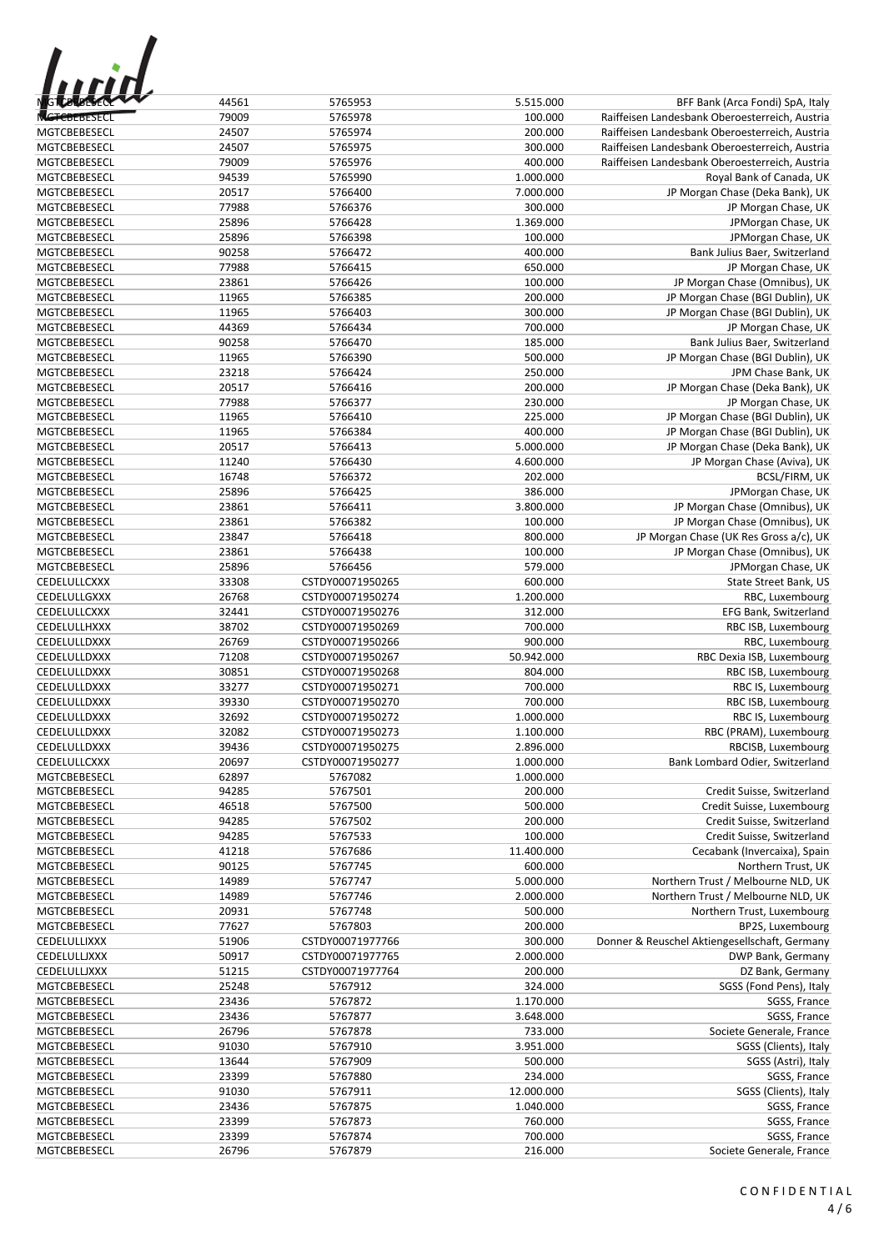| 1 F F<br><b>GTCBLBESCH</b> |
|----------------------------|
| 81 SF (                    |

| <b>GT 28 BESECK</b> | 44561 | 5765953          | 5.515.000  | BFF Bank (Arca Fondi) SpA, Italy               |
|---------------------|-------|------------------|------------|------------------------------------------------|
|                     |       |                  |            |                                                |
| <b>MCTCBEBESECI</b> | 79009 | 5765978          | 100.000    | Raiffeisen Landesbank Oberoesterreich, Austria |
| MGTCBEBESECL        | 24507 | 5765974          | 200.000    | Raiffeisen Landesbank Oberoesterreich, Austria |
| MGTCBEBESECL        | 24507 | 5765975          | 300.000    | Raiffeisen Landesbank Oberoesterreich, Austria |
| MGTCBEBESECL        | 79009 | 5765976          | 400.000    | Raiffeisen Landesbank Oberoesterreich, Austria |
| MGTCBEBESECL        | 94539 | 5765990          | 1.000.000  | Royal Bank of Canada, UK                       |
| MGTCBEBESECL        | 20517 | 5766400          | 7.000.000  | JP Morgan Chase (Deka Bank), UK                |
| MGTCBEBESECL        | 77988 | 5766376          | 300.000    | JP Morgan Chase, UK                            |
| MGTCBEBESECL        | 25896 | 5766428          | 1.369.000  | JPMorgan Chase, UK                             |
| MGTCBEBESECL        | 25896 | 5766398          | 100.000    | JPMorgan Chase, UK                             |
| MGTCBEBESECL        | 90258 | 5766472          | 400.000    | Bank Julius Baer, Switzerland                  |
| MGTCBEBESECL        | 77988 | 5766415          | 650.000    | JP Morgan Chase, UK                            |
| MGTCBEBESECL        | 23861 | 5766426          | 100.000    | JP Morgan Chase (Omnibus), UK                  |
| MGTCBEBESECL        | 11965 | 5766385          | 200.000    | JP Morgan Chase (BGI Dublin), UK               |
|                     |       |                  |            |                                                |
| MGTCBEBESECL        | 11965 | 5766403          | 300.000    | JP Morgan Chase (BGI Dublin), UK               |
| MGTCBEBESECL        | 44369 | 5766434          | 700.000    | JP Morgan Chase, UK                            |
| MGTCBEBESECL        | 90258 | 5766470          | 185.000    | Bank Julius Baer, Switzerland                  |
| <b>MGTCBEBESECL</b> | 11965 | 5766390          | 500.000    | JP Morgan Chase (BGI Dublin), UK               |
| <b>MGTCBEBESECL</b> | 23218 | 5766424          | 250.000    | JPM Chase Bank, UK                             |
| MGTCBEBESECL        | 20517 | 5766416          | 200.000    | JP Morgan Chase (Deka Bank), UK                |
| MGTCBEBESECL        | 77988 | 5766377          | 230.000    | JP Morgan Chase, UK                            |
| MGTCBEBESECL        | 11965 | 5766410          | 225.000    | JP Morgan Chase (BGI Dublin), UK               |
| MGTCBEBESECL        | 11965 | 5766384          | 400.000    | JP Morgan Chase (BGI Dublin), UK               |
| MGTCBEBESECL        | 20517 | 5766413          | 5.000.000  | JP Morgan Chase (Deka Bank), UK                |
| MGTCBEBESECL        | 11240 | 5766430          | 4.600.000  | JP Morgan Chase (Aviva), UK                    |
| MGTCBEBESECL        | 16748 | 5766372          | 202.000    | <b>BCSL/FIRM, UK</b>                           |
| MGTCBEBESECL        |       |                  |            |                                                |
|                     | 25896 | 5766425          | 386.000    | JPMorgan Chase, UK                             |
| MGTCBEBESECL        | 23861 | 5766411          | 3.800.000  | JP Morgan Chase (Omnibus), UK                  |
| MGTCBEBESECL        | 23861 | 5766382          | 100.000    | JP Morgan Chase (Omnibus), UK                  |
| MGTCBEBESECL        | 23847 | 5766418          | 800.000    | JP Morgan Chase (UK Res Gross a/c), UK         |
| MGTCBEBESECL        | 23861 | 5766438          | 100.000    | JP Morgan Chase (Omnibus), UK                  |
| MGTCBEBESECL        | 25896 | 5766456          | 579.000    | JPMorgan Chase, UK                             |
| CEDELULLCXXX        | 33308 | CSTDY00071950265 | 600.000    | State Street Bank, US                          |
| CEDELULLGXXX        | 26768 | CSTDY00071950274 | 1.200.000  | RBC, Luxembourg                                |
| CEDELULLCXXX        | 32441 | CSTDY00071950276 | 312.000    | EFG Bank, Switzerland                          |
| CEDELULLHXXX        | 38702 | CSTDY00071950269 | 700.000    | RBC ISB, Luxembourg                            |
| CEDELULLDXXX        | 26769 | CSTDY00071950266 | 900.000    | RBC, Luxembourg                                |
| CEDELULLDXXX        | 71208 | CSTDY00071950267 | 50.942.000 | RBC Dexia ISB, Luxembourg                      |
| CEDELULLDXXX        | 30851 | CSTDY00071950268 | 804.000    | RBC ISB, Luxembourg                            |
|                     |       | CSTDY00071950271 |            |                                                |
| CEDELULLDXXX        | 33277 |                  | 700.000    | RBC IS, Luxembourg                             |
| CEDELULLDXXX        | 39330 | CSTDY00071950270 | 700.000    | RBC ISB, Luxembourg                            |
| CEDELULLDXXX        | 32692 | CSTDY00071950272 | 1.000.000  | RBC IS, Luxembourg                             |
| CEDELULLDXXX        | 32082 | CSTDY00071950273 | 1.100.000  | RBC (PRAM), Luxembourg                         |
| CEDELULLDXXX        | 39436 | CSTDY00071950275 | 2.896.000  | RBCISB, Luxembourg                             |
| CEDELULLCXXX        | 20697 | CSTDY00071950277 | 1.000.000  | Bank Lombard Odier, Switzerland                |
| MGTCBEBESECL        | 62897 | 5767082          | 1.000.000  |                                                |
| MGTCBEBESECL        | 94285 | 5767501          | 200.000    | Credit Suisse, Switzerland                     |
| MGTCBEBESECL        | 46518 | 5767500          | 500.000    | Credit Suisse, Luxembourg                      |
| MGTCBEBESECL        | 94285 | 5767502          | 200.000    | Credit Suisse, Switzerland                     |
| MGTCBEBESECL        | 94285 | 5767533          | 100.000    | Credit Suisse, Switzerland                     |
| MGTCBEBESECL        | 41218 | 5767686          | 11.400.000 | Cecabank (Invercaixa), Spain                   |
| MGTCBEBESECL        | 90125 | 5767745          | 600.000    | Northern Trust, UK                             |
| MGTCBEBESECL        | 14989 | 5767747          | 5.000.000  | Northern Trust / Melbourne NLD, UK             |
|                     |       |                  |            |                                                |
| MGTCBEBESECL        | 14989 | 5767746          | 2.000.000  | Northern Trust / Melbourne NLD, UK             |
| MGTCBEBESECL        | 20931 | 5767748          | 500.000    | Northern Trust, Luxembourg                     |
| MGTCBEBESECL        | 77627 | 5767803          | 200.000    | BP2S, Luxembourg                               |
| CEDELULLIXXX        | 51906 | CSTDY00071977766 | 300.000    | Donner & Reuschel Aktiengesellschaft, Germany  |
| CEDELULLJXXX        | 50917 | CSTDY00071977765 | 2.000.000  | DWP Bank, Germany                              |
| CEDELULLJXXX        | 51215 | CSTDY00071977764 | 200.000    | DZ Bank, Germany                               |
| MGTCBEBESECL        | 25248 | 5767912          | 324.000    | SGSS (Fond Pens), Italy                        |
| MGTCBEBESECL        | 23436 | 5767872          | 1.170.000  | SGSS, France                                   |
| MGTCBEBESECL        | 23436 | 5767877          | 3.648.000  | SGSS, France                                   |
| MGTCBEBESECL        | 26796 | 5767878          | 733.000    | Societe Generale, France                       |
| MGTCBEBESECL        | 91030 | 5767910          | 3.951.000  | SGSS (Clients), Italy                          |
| MGTCBEBESECL        | 13644 | 5767909          | 500.000    | SGSS (Astri), Italy                            |
| MGTCBEBESECL        | 23399 |                  | 234.000    |                                                |
|                     |       | 5767880          |            | SGSS, France                                   |
| MGTCBEBESECL        | 91030 | 5767911          | 12.000.000 | SGSS (Clients), Italy                          |
| <b>MGTCBEBESECL</b> | 23436 | 5767875          | 1.040.000  | SGSS, France                                   |
| MGTCBEBESECL        | 23399 | 5767873          | 760.000    | SGSS, France                                   |
| MGTCBEBESECL        | 23399 | 5767874          | 700.000    | SGSS, France                                   |
| MGTCBEBESECL        | 26796 | 5767879          | 216.000    | Societe Generale, France                       |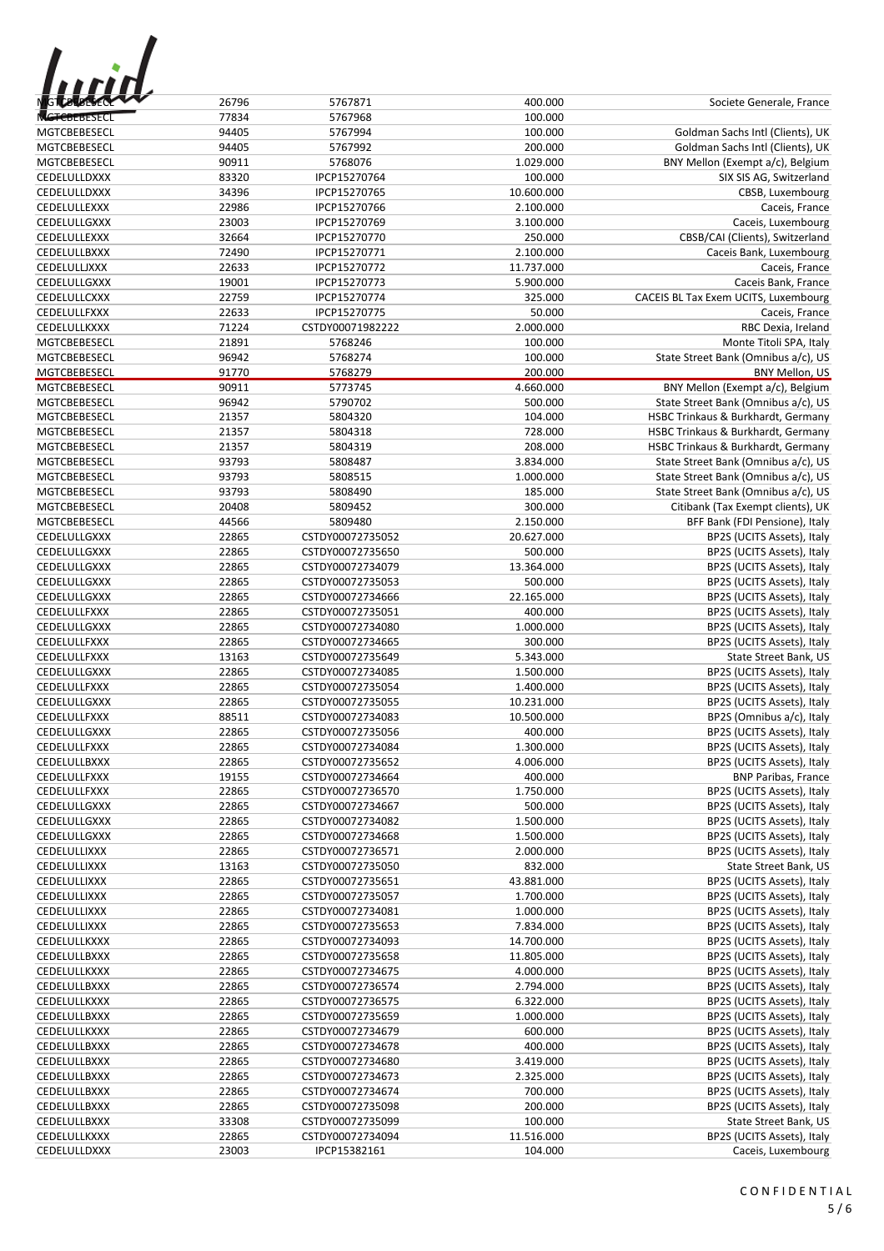| 1 F J 1<br><b>IG TO TO BESECK</b> |  |
|-----------------------------------|--|
| CBEBESECI                         |  |

| <b>MGTCHERERY</b>   | 26796 | 5767871          | 400.000    | Societe Generale, France             |
|---------------------|-------|------------------|------------|--------------------------------------|
| <b>MGTCBEBESECL</b> | 77834 | 5767968          | 100.000    |                                      |
| MGTCBEBESECL        | 94405 | 5767994          | 100.000    | Goldman Sachs Intl (Clients), UK     |
| MGTCBEBESECL        | 94405 | 5767992          | 200.000    | Goldman Sachs Intl (Clients), UK     |
| MGTCBEBESECL        | 90911 | 5768076          | 1.029.000  | BNY Mellon (Exempt a/c), Belgium     |
| CEDELULLDXXX        | 83320 | IPCP15270764     | 100.000    | SIX SIS AG, Switzerland              |
| CEDELULLDXXX        | 34396 | IPCP15270765     | 10.600.000 | CBSB, Luxembourg                     |
| CEDELULLEXXX        | 22986 | IPCP15270766     | 2.100.000  | Caceis, France                       |
| CEDELULLGXXX        | 23003 | IPCP15270769     | 3.100.000  | Caceis, Luxembourg                   |
|                     |       |                  |            |                                      |
| CEDELULLEXXX        | 32664 | IPCP15270770     | 250.000    | CBSB/CAI (Clients), Switzerland      |
| CEDELULLBXXX        | 72490 | IPCP15270771     | 2.100.000  | Caceis Bank, Luxembourg              |
| CEDELULLJXXX        | 22633 | IPCP15270772     | 11.737.000 | Caceis, France                       |
| CEDELULLGXXX        | 19001 | IPCP15270773     | 5.900.000  | Caceis Bank, France                  |
| CEDELULLCXXX        | 22759 | IPCP15270774     | 325.000    | CACEIS BL Tax Exem UCITS, Luxembourg |
| CEDELULLFXXX        | 22633 | IPCP15270775     | 50.000     | Caceis, France                       |
| CEDELULLKXXX        | 71224 | CSTDY00071982222 | 2.000.000  | RBC Dexia, Ireland                   |
| MGTCBEBESECL        | 21891 | 5768246          | 100.000    | Monte Titoli SPA, Italy              |
| MGTCBEBESECL        | 96942 | 5768274          | 100.000    | State Street Bank (Omnibus a/c), US  |
| MGTCBEBESECL        | 91770 | 5768279          | 200.000    | BNY Mellon, US                       |
| MGTCBEBESECL        | 90911 | 5773745          | 4.660.000  | BNY Mellon (Exempt a/c), Belgium     |
| MGTCBEBESECL        | 96942 | 5790702          | 500.000    | State Street Bank (Omnibus a/c), US  |
| MGTCBEBESECL        | 21357 | 5804320          | 104.000    | HSBC Trinkaus & Burkhardt, Germany   |
| MGTCBEBESECL        | 21357 | 5804318          | 728.000    | HSBC Trinkaus & Burkhardt, Germany   |
| MGTCBEBESECL        | 21357 | 5804319          | 208.000    | HSBC Trinkaus & Burkhardt, Germany   |
| MGTCBEBESECL        | 93793 | 5808487          | 3.834.000  | State Street Bank (Omnibus a/c), US  |
| MGTCBEBESECL        | 93793 | 5808515          | 1.000.000  | State Street Bank (Omnibus a/c), US  |
| MGTCBEBESECL        | 93793 | 5808490          | 185.000    | State Street Bank (Omnibus a/c), US  |
| MGTCBEBESECL        | 20408 | 5809452          | 300.000    | Citibank (Tax Exempt clients), UK    |
| MGTCBEBESECL        | 44566 | 5809480          | 2.150.000  | BFF Bank (FDI Pensione), Italy       |
| CEDELULLGXXX        | 22865 | CSTDY00072735052 | 20.627.000 | BP2S (UCITS Assets), Italy           |
| CEDELULLGXXX        | 22865 | CSTDY00072735650 | 500.000    | BP2S (UCITS Assets), Italy           |
| CEDELULLGXXX        | 22865 | CSTDY00072734079 | 13.364.000 |                                      |
|                     |       |                  |            | BP2S (UCITS Assets), Italy           |
| CEDELULLGXXX        | 22865 | CSTDY00072735053 | 500.000    | BP2S (UCITS Assets), Italy           |
| CEDELULLGXXX        | 22865 | CSTDY00072734666 | 22.165.000 | BP2S (UCITS Assets), Italy           |
| CEDELULLFXXX        | 22865 | CSTDY00072735051 | 400.000    | BP2S (UCITS Assets), Italy           |
| CEDELULLGXXX        | 22865 | CSTDY00072734080 | 1.000.000  | BP2S (UCITS Assets), Italy           |
| CEDELULLFXXX        | 22865 | CSTDY00072734665 | 300.000    | BP2S (UCITS Assets), Italy           |
| CEDELULLFXXX        | 13163 | CSTDY00072735649 | 5.343.000  | State Street Bank, US                |
| CEDELULLGXXX        | 22865 | CSTDY00072734085 | 1.500.000  | BP2S (UCITS Assets), Italy           |
| CEDELULLFXXX        | 22865 | CSTDY00072735054 | 1.400.000  | BP2S (UCITS Assets), Italy           |
| CEDELULLGXXX        | 22865 | CSTDY00072735055 | 10.231.000 | BP2S (UCITS Assets), Italy           |
| CEDELULLFXXX        | 88511 | CSTDY00072734083 | 10.500.000 | BP2S (Omnibus a/c), Italy            |
| CEDELULLGXXX        | 22865 | CSTDY00072735056 | 400.000    | BP2S (UCITS Assets), Italy           |
| CEDELULLFXXX        | 22865 | CSTDY00072734084 | 1.300.000  | BP2S (UCITS Assets), Italy           |
| CEDELULLBXXX        | 22865 | CSTDY00072735652 | 4.006.000  | BP2S (UCITS Assets), Italy           |
| CEDELULLFXXX        | 19155 | CSTDY00072734664 | 400.000    | <b>BNP Paribas, France</b>           |
| CEDELULLFXXX        | 22865 | CSTDY00072736570 | 1.750.000  | BP2S (UCITS Assets), Italy           |
| CEDELULLGXXX        | 22865 | CSTDY00072734667 | 500.000    | BP2S (UCITS Assets), Italy           |
| CEDELULLGXXX        | 22865 | CSTDY00072734082 | 1.500.000  | BP2S (UCITS Assets), Italy           |
| CEDELULLGXXX        | 22865 | CSTDY00072734668 | 1.500.000  | BP2S (UCITS Assets), Italy           |
| CEDELULLIXXX        | 22865 | CSTDY00072736571 | 2.000.000  | BP2S (UCITS Assets), Italy           |
| CEDELULLIXXX        | 13163 | CSTDY00072735050 | 832.000    | State Street Bank, US                |
| CEDELULLIXXX        | 22865 | CSTDY00072735651 | 43.881.000 | BP2S (UCITS Assets), Italy           |
| CEDELULLIXXX        | 22865 | CSTDY00072735057 | 1.700.000  | BP2S (UCITS Assets), Italy           |
| CEDELULLIXXX        | 22865 | CSTDY00072734081 | 1.000.000  | BP2S (UCITS Assets), Italy           |
| CEDELULLIXXX        | 22865 | CSTDY00072735653 | 7.834.000  | BP2S (UCITS Assets), Italy           |
| CEDELULLKXXX        | 22865 | CSTDY00072734093 | 14.700.000 | BP2S (UCITS Assets), Italy           |
|                     |       |                  |            |                                      |
| CEDELULLBXXX        | 22865 | CSTDY00072735658 | 11.805.000 | BP2S (UCITS Assets), Italy           |
| CEDELULLKXXX        | 22865 | CSTDY00072734675 | 4.000.000  | BP2S (UCITS Assets), Italy           |
| CEDELULLBXXX        | 22865 | CSTDY00072736574 | 2.794.000  | BP2S (UCITS Assets), Italy           |
| CEDELULLKXXX        | 22865 | CSTDY00072736575 | 6.322.000  | BP2S (UCITS Assets), Italy           |
| CEDELULLBXXX        | 22865 | CSTDY00072735659 | 1.000.000  | BP2S (UCITS Assets), Italy           |
| CEDELULLKXXX        | 22865 | CSTDY00072734679 | 600.000    | BP2S (UCITS Assets), Italy           |
| CEDELULLBXXX        | 22865 | CSTDY00072734678 | 400.000    | BP2S (UCITS Assets), Italy           |
| CEDELULLBXXX        | 22865 | CSTDY00072734680 | 3.419.000  | BP2S (UCITS Assets), Italy           |
| CEDELULLBXXX        | 22865 | CSTDY00072734673 | 2.325.000  | BP2S (UCITS Assets), Italy           |
| CEDELULLBXXX        | 22865 | CSTDY00072734674 | 700.000    | BP2S (UCITS Assets), Italy           |
| CEDELULLBXXX        | 22865 | CSTDY00072735098 | 200.000    | BP2S (UCITS Assets), Italy           |
| CEDELULLBXXX        | 33308 | CSTDY00072735099 | 100.000    | State Street Bank, US                |
| CEDELULLKXXX        | 22865 | CSTDY00072734094 | 11.516.000 | BP2S (UCITS Assets), Italy           |
| CEDELULLDXXX        | 23003 | IPCP15382161     | 104.000    | Caceis, Luxembourg                   |
|                     |       |                  |            |                                      |